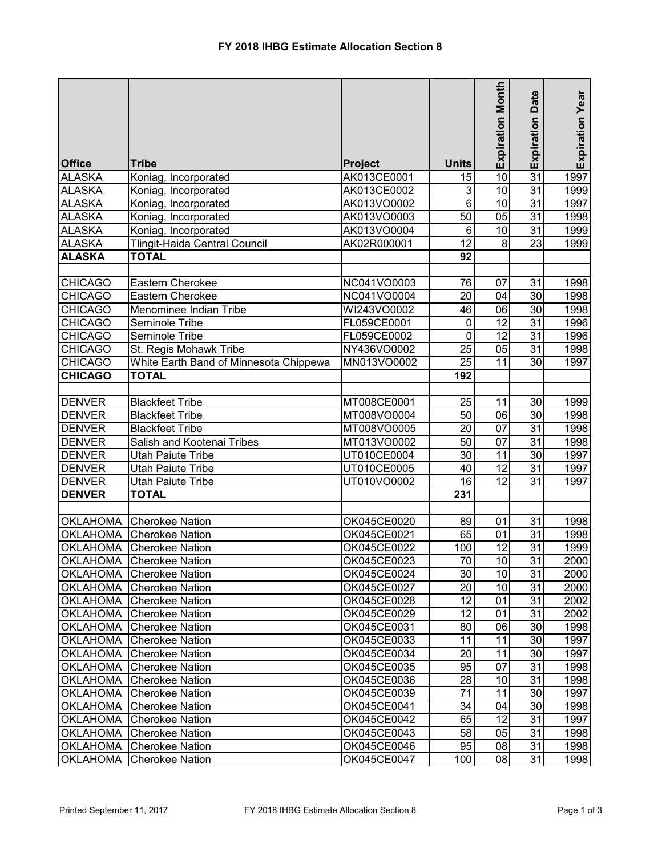|                                    |                                           |                            |                 | <b>Expiration Month</b> | <b>Expiration Date</b> | Expiration Year |
|------------------------------------|-------------------------------------------|----------------------------|-----------------|-------------------------|------------------------|-----------------|
|                                    |                                           |                            |                 |                         |                        |                 |
| <b>Office</b>                      | <b>Tribe</b>                              | <b>Project</b>             | <b>Units</b>    |                         |                        |                 |
| <b>ALASKA</b>                      | Koniag, Incorporated                      | AK013CE0001                | 15              | $\overline{10}$         | $\overline{31}$        | 1997            |
| <b>ALASKA</b>                      | Koniag, Incorporated                      | AK013CE0002                | 3               | 10                      | 31                     | 1999            |
| <b>ALASKA</b>                      | Koniag, Incorporated                      | AK013VO0002                | $6\phantom{1}6$ | 10                      | 31                     | 1997            |
| <b>ALASKA</b>                      | Koniag, Incorporated                      | AK013VO0003                | 50              | 05                      | 31                     | 1998            |
| <b>ALASKA</b>                      | Koniag, Incorporated                      | AK013VO0004                | 6               | 10                      | 31                     | 1999            |
| <b>ALASKA</b>                      | Tlingit-Haida Central Council             | AK02R000001                | $\overline{12}$ | 8                       | 23                     | 1999            |
| <b>ALASKA</b>                      | <b>TOTAL</b>                              |                            | $\overline{92}$ |                         |                        |                 |
| <b>CHICAGO</b>                     | Eastern Cherokee                          | NC041VO0003                | 76              | 07                      | 31                     | 1998            |
| <b>CHICAGO</b>                     | Eastern Cherokee                          | NC041VO0004                | 20              | 04                      | 30 <sup>°</sup>        | 1998            |
| <b>CHICAGO</b>                     | Menominee Indian Tribe                    | WI243VO0002                | 46              | 06                      | 30 <sup>°</sup>        | 1998            |
| <b>CHICAGO</b>                     | Seminole Tribe                            | FL059CE0001                | $\mathbf 0$     | $\overline{12}$         | 31                     | 1996            |
| <b>CHICAGO</b>                     | Seminole Tribe                            | FL059CE0002                | $\overline{0}$  | 12                      | 31                     | 1996            |
| <b>CHICAGO</b>                     | St. Regis Mohawk Tribe                    | NY436VO0002                | $\overline{25}$ | 05                      | 31                     | 1998            |
| <b>CHICAGO</b>                     | White Earth Band of Minnesota Chippewa    | MN013VO0002                | $\overline{25}$ | 11                      | $\overline{30}$        | 1997            |
| <b>CHICAGO</b>                     | <b>TOTAL</b>                              |                            | 192             |                         |                        |                 |
|                                    |                                           |                            |                 |                         |                        |                 |
| <b>DENVER</b>                      | <b>Blackfeet Tribe</b>                    | MT008CE0001                | 25              | 11                      | 30                     | 1999            |
| <b>DENVER</b>                      | <b>Blackfeet Tribe</b>                    | MT008VO0004                | $\overline{50}$ | 06                      | 30                     | 1998            |
| <b>DENVER</b>                      | <b>Blackfeet Tribe</b>                    | MT008VO0005                | $\overline{20}$ | 07                      | $\overline{31}$        | 1998            |
| <b>DENVER</b>                      | Salish and Kootenai Tribes                | MT013VO0002                | 50              | 07                      | $\overline{31}$        | 1998            |
| <b>DENVER</b>                      | <b>Utah Paiute Tribe</b>                  | UT010CE0004                | 30              | 11                      | 30                     | 1997            |
| <b>DENVER</b>                      | <b>Utah Paiute Tribe</b>                  | UT010CE0005                | 40              | 12                      | 31                     | 1997            |
| <b>DENVER</b>                      | <b>Utah Paiute Tribe</b>                  | UT010VO0002                | 16              | 12                      | 31                     | 1997            |
| <b>DENVER</b>                      | <b>TOTAL</b>                              |                            | 231             |                         |                        |                 |
|                                    |                                           |                            |                 |                         |                        |                 |
| <b>OKLAHOMA</b>                    | <b>Cherokee Nation</b>                    | OK045CE0020                | 89              | 01                      | 31                     | 1998            |
| <b>OKLAHOMA</b>                    | <b>Cherokee Nation</b>                    | OK045CE0021                | 65              | 01                      | 31                     | 1998            |
| <b>OKLAHOMA</b>                    | <b>Cherokee Nation</b>                    | OK045CE0022                | 100             | 12                      | 31                     | 1999            |
|                                    | <b>OKLAHOMA</b> Cherokee Nation           | OK045CE0023                | 70              | 10                      | 31                     | 2000            |
|                                    | <b>OKLAHOMA</b> Cherokee Nation           | OK045CE0024                | 30              | 10                      | 31                     | 2000            |
| <b>OKLAHOMA</b>                    | <b>Cherokee Nation</b>                    | OK045CE0027                | 20              | 10                      | 31                     | 2000            |
| <b>OKLAHOMA</b>                    | <b>Cherokee Nation</b>                    | OK045CE0028                | 12              | 01                      | 31                     | 2002            |
| <b>OKLAHOMA</b>                    | <b>Cherokee Nation</b>                    | OK045CE0029                | 12              | 01                      | 31                     | 2002            |
| <b>OKLAHOMA</b>                    | <b>Cherokee Nation</b>                    | OK045CE0031                | 80              | 06                      | 30                     | 1998            |
| <b>OKLAHOMA</b>                    | <b>Cherokee Nation</b>                    | OK045CE0033                | 11              | 11                      | 30                     | 1997            |
| <b>OKLAHOMA</b>                    | <b>Cherokee Nation</b>                    | OK045CE0034                | 20              | 11                      | 30 <sub>0</sub>        | 1997            |
| <b>OKLAHOMA</b>                    | <b>Cherokee Nation</b>                    | OK045CE0035<br>OK045CE0036 | 95<br>28        | 07<br>10                | 31<br>31               | 1998            |
| <b>OKLAHOMA</b><br><b>OKLAHOMA</b> | <b>Cherokee Nation</b>                    | OK045CE0039                | 71              | 11                      | 30                     | 1998            |
|                                    | <b>Cherokee Nation</b>                    |                            |                 |                         |                        | 1997            |
| <b>OKLAHOMA</b><br><b>OKLAHOMA</b> | <b>Cherokee Nation</b><br>Cherokee Nation | OK045CE0041<br>OK045CE0042 | 34<br>65        | 04<br>12                | 30<br>31               | 1998<br>1997    |
| <b>OKLAHOMA</b>                    | Cherokee Nation                           | OK045CE0043                | 58              | 05                      | 31                     | 1998            |
| <b>OKLAHOMA</b>                    | Cherokee Nation                           | OK045CE0046                | 95              | 08                      | 31                     | 1998            |
| <b>OKLAHOMA</b>                    | Cherokee Nation                           | OK045CE0047                | 100             | 08                      | 31                     | 1998            |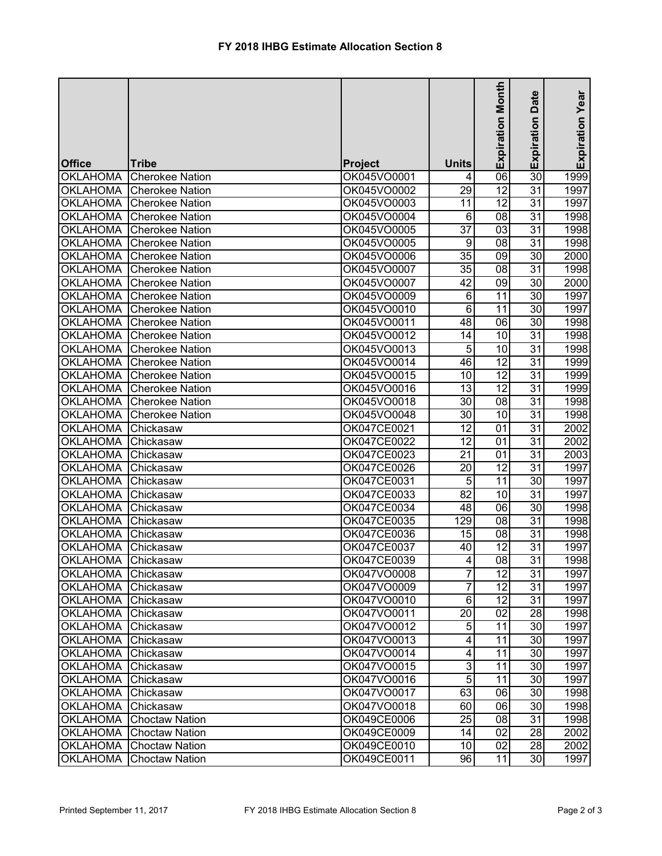|                    |                                |                |                 | Expiration Month | <b>Date</b><br>Expiration | Expiration Year |
|--------------------|--------------------------------|----------------|-----------------|------------------|---------------------------|-----------------|
|                    |                                |                |                 |                  |                           |                 |
| <b>Office</b>      | <b>Tribe</b>                   | <b>Project</b> | <b>Units</b>    |                  |                           |                 |
| <b>OKLAHOMA</b>    | <b>Cherokee Nation</b>         | OK045VO0001    | 4               | $\overline{06}$  | $\overline{30}$           | 1999            |
| <b>OKLAHOMA</b>    | <b>Cherokee Nation</b>         | OK045VO0002    | 29              | 12               | 31                        | 1997            |
| <b>OKLAHOMA</b>    | <b>Cherokee Nation</b>         | OK045VO0003    | 11              | 12               | 31                        | 1997            |
| <b>OKLAHOMA</b>    | <b>Cherokee Nation</b>         | OK045VO0004    | 6               | 08               | 31                        | 1998            |
| <b>OKLAHOMA</b>    | <b>Cherokee Nation</b>         | OK045VO0005    | $\overline{37}$ | 03               | 31                        | 1998            |
| <b>OKLAHOMA</b>    | <b>Cherokee Nation</b>         | OK045VO0005    | 9               | 08               | 31                        | 1998            |
| <b>OKLAHOMA</b>    | <b>Cherokee Nation</b>         | OK045VO0006    | $\overline{35}$ | 09               | 30                        | 2000            |
| <b>OKLAHOMA</b>    | <b>Cherokee Nation</b>         | OK045VO0007    | 35              | 08               | 31                        | 1998            |
| <b>OKLAHOMA</b>    | <b>Cherokee Nation</b>         | OK045VO0007    | $\overline{42}$ | 09               | 30                        | 2000            |
| <b>OKLAHOMA</b>    | <b>Cherokee Nation</b>         | OK045VO0009    | $\,6$           | 11               | 30                        | 1997            |
| <b>OKLAHOMA</b>    | <b>Cherokee Nation</b>         | OK045VO0010    | $\overline{6}$  | 11               | 30                        | 1997            |
| <b>OKLAHOMA</b>    | <b>Cherokee Nation</b>         | OK045VO0011    | $\overline{48}$ | 06               | 30                        | 1998            |
| <b>OKLAHOMA</b>    | <b>Cherokee Nation</b>         | OK045VO0012    | 14              | 10               | 31                        | 1998            |
| <b>OKLAHOMA</b>    | <b>Cherokee Nation</b>         | OK045VO0013    | $\overline{5}$  | $\overline{10}$  | $\overline{31}$           | 1998            |
| <b>OKLAHOMA</b>    | <b>Cherokee Nation</b>         | OK045VO0014    | 46              | $\overline{12}$  | 31                        | 1999            |
| <b>OKLAHOMA</b>    | <b>Cherokee Nation</b>         | OK045VO0015    | $\overline{10}$ | $\overline{12}$  | $\overline{31}$           | 1999            |
| <b>OKLAHOMA</b>    | <b>Cherokee Nation</b>         | OK045VO0016    | $\overline{13}$ | $\overline{12}$  | $\overline{31}$           | 1999            |
| <b>OKLAHOMA</b>    | <b>Cherokee Nation</b>         | OK045VO0018    | 30              | 08               | 31                        | 1998            |
| <b>OKLAHOMA</b>    | <b>Cherokee Nation</b>         | OK045VO0048    | $\overline{30}$ | 10               | $\overline{31}$           | 1998            |
| <b>OKLAHOMA</b>    | Chickasaw                      | OK047CE0021    | $\overline{12}$ | 01               | $\overline{31}$           | 2002            |
| <b>OKLAHOMA</b>    | Chickasaw                      | OK047CE0022    | $\overline{12}$ | 01               | $\overline{31}$           | 2002            |
| <b>OKLAHOMA</b>    | Chickasaw                      | OK047CE0023    | $\overline{21}$ | 01               | $\overline{31}$           | 2003            |
| <b>OKLAHOMA</b>    | Chickasaw                      | OK047CE0026    | $\overline{20}$ | 12               | $\overline{31}$           | 1997            |
| <b>OKLAHOMA</b>    | Chickasaw                      | OK047CE0031    | 5               | 11               | 30                        | 1997            |
| <b>OKLAHOMA</b>    | Chickasaw                      | OK047CE0033    | $\overline{82}$ | 10               | 31                        | 1997            |
| <b>OKLAHOMA</b>    | Chickasaw                      | OK047CE0034    | 48              | 06               | 30                        | 1998            |
| <b>OKLAHOMA</b>    | Chickasaw                      | OK047CE0035    | 129             | 08               | 31                        | 1998            |
| <b>OKLAHOMA</b>    | Chickasaw                      | OK047CE0036    | 15              | 08               | 31                        | 1998            |
| <b>OKLAHOMA</b>    | Chickasaw                      | OK047CE0037    | 40              | 12               | 31                        | 1997            |
| OKLAHOMA Chickasaw |                                | OK047CE0039    | $\overline{A}$  | $\overline{08}$  | $\overline{31}$           | 1998            |
| OKLAHOMA Chickasaw |                                | OK047VO0008    | 7               | 12               | 31                        | 1997            |
| OKLAHOMA Chickasaw |                                | OK047VO0009    | 7               | 12               | 31                        | 1997            |
| <b>OKLAHOMA</b>    | Chickasaw                      | OK047VO0010    | 6               | 12               | 31                        | 1997            |
| <b>OKLAHOMA</b>    | Chickasaw                      | OK047VO0011    | $\overline{20}$ | 02               | 28                        | 1998            |
| <b>OKLAHOMA</b>    | Chickasaw                      | OK047VO0012    | 5               | 11               | 30                        | 1997            |
| <b>OKLAHOMA</b>    | Chickasaw                      | OK047VO0013    | 4               | 11               | 30                        | 1997            |
| <b>OKLAHOMA</b>    | Chickasaw                      | OK047VO0014    | 4               | 11               | 30                        | 1997            |
| <b>OKLAHOMA</b>    | Chickasaw                      | OK047VO0015    | $\overline{3}$  | 11               | 30                        | 1997            |
| <b>OKLAHOMA</b>    | <b>TChickasaw</b>              | OK047VO0016    | $\overline{5}$  | 11               | 30                        | 1997            |
| <b>OKLAHOMA</b>    | Chickasaw                      | OK047VO0017    | 63              | 06               | 30 <sub>l</sub>           | 1998            |
| <b>OKLAHOMA</b>    | Chickasaw                      | OK047VO0018    | 60              | 06               | 30                        | 1998            |
| <b>OKLAHOMA</b>    | <b>Choctaw Nation</b>          | OK049CE0006    | 25              | 08               | 31                        | 1998            |
| <b>OKLAHOMA</b>    | <b>Choctaw Nation</b>          | OK049CE0009    | 14              | 02               | 28                        | 2002            |
| <b>OKLAHOMA</b>    | <b>Choctaw Nation</b>          | OK049CE0010    | 10              | 02               | 28                        | 2002            |
|                    | <b>OKLAHOMA</b> Choctaw Nation | OK049CE0011    | 96              | 11               | 30                        | 1997            |